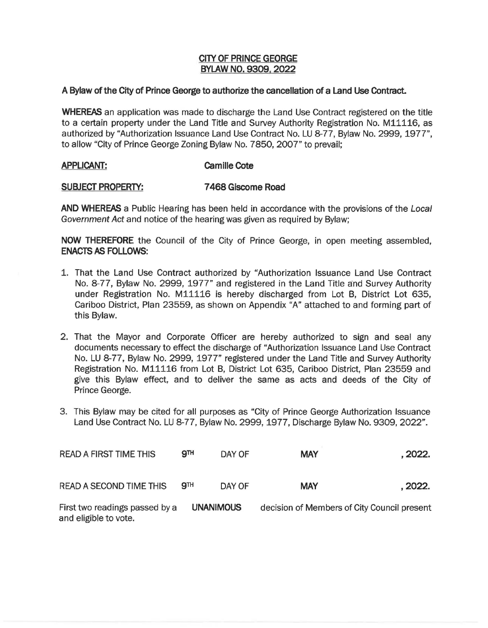## **CITY OF PRINCE GEORGE BYLAW NO. 9309, 2022**

## **A Bylaw of the City of Prince George to authorize the cancellation of a Land Use Contract.**

**WHEREAS** an application was made to discharge the Land Use Contract registered on the title to a certain property under the Land Title and Survey Authority Registration No. M11116, as authorized by "Authorization Issuance Land Use Contract No. LU 8-77, Bylaw No. 2999, 1977", to allow "City of Prince George Zoning Bylaw No. 7850, 2007" to prevail;

## **APPLICANT: Camille Cote**

## **SUBJECT PROPERTY: 7 468 Giscome Road**

**AND WHEREAS** a Public Hearing has been held in accordance with the provisions of the Local Government Act and notice of the hearing was given as required by Bylaw;

**NOW THEREFORE** the Council of the City of Prince George, in open meeting assembled, **ENACTS AS FOLLOWS:** 

- 1. That the Land Use Contract authorized by "Authorization Issuance Land Use Contract No. 8-77, Bylaw No. 2999, 1977" and registered in the Land Title and Survey Authority under Registration No. M11116 is hereby discharged from Lot B, District Lot 635, Cariboo District, Plan 23559, as shown on Appendix "A" attached to and forming part of this Bylaw.
- 2. That the Mayor and Corporate Officer are hereby authorized to sign and seal any documents necessary to effect the discharge of "Authorization Issuance Land Use Contract No. LU 8-77, Bylaw No. 2999, 1977" registered under the Land Title and Survey Authority Registration No. M11116 from Lot B, District Lot 635, Cariboo District, Plan 23559 and give this Bylaw effect, and to deliver the same as acts and deeds of the City of Prince George.
- 3. This Bylaw may be cited for all purposes as "City of Prince George Authorization Issuance Land Use Contract No. LU 8-77, Bylaw No. 2999, 1977, Discharge Bylaw No. 9309, 2022".

| <b>READ A FIRST TIME THIS</b>                           | <b>9TH</b>       | DAY OF | <b>MAY</b>                                  | . 2022. |
|---------------------------------------------------------|------------------|--------|---------------------------------------------|---------|
| <b>READ A SECOND TIME THIS</b>                          | <b>9TH</b>       | DAY OF | <b>MAY</b>                                  | . 2022. |
| First two readings passed by a<br>and eligible to vote. | <b>UNANIMOUS</b> |        | decision of Members of City Council present |         |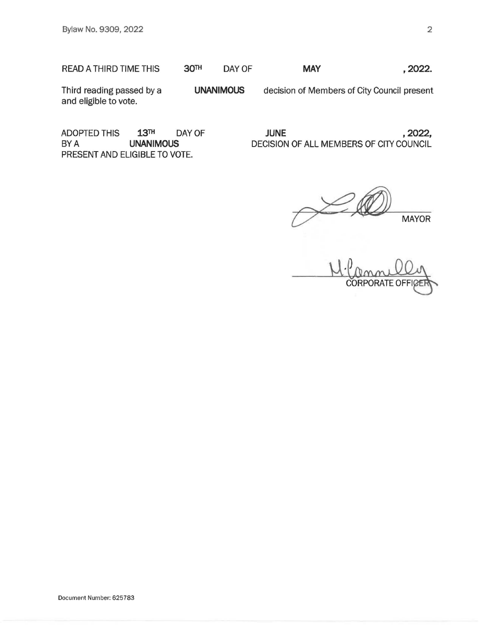READ A THIRD TIME THIS **30TH** DAY OF **MAY** , **2022.** 

Third reading passed by a and eligible to vote. **UNANIMOUS**  decision of Members of City Council present

ADOPTED THIS 13TH DAY OF BY A **UNANIMOUS**  PRESENT AND ELIGIBLE TO VOTE.

**JUNE** , **2022,**  DECISION OF ALL MEMBERS OF CllY COUNCIL

**MAYOR** 

M. CORPORATE OFFICER